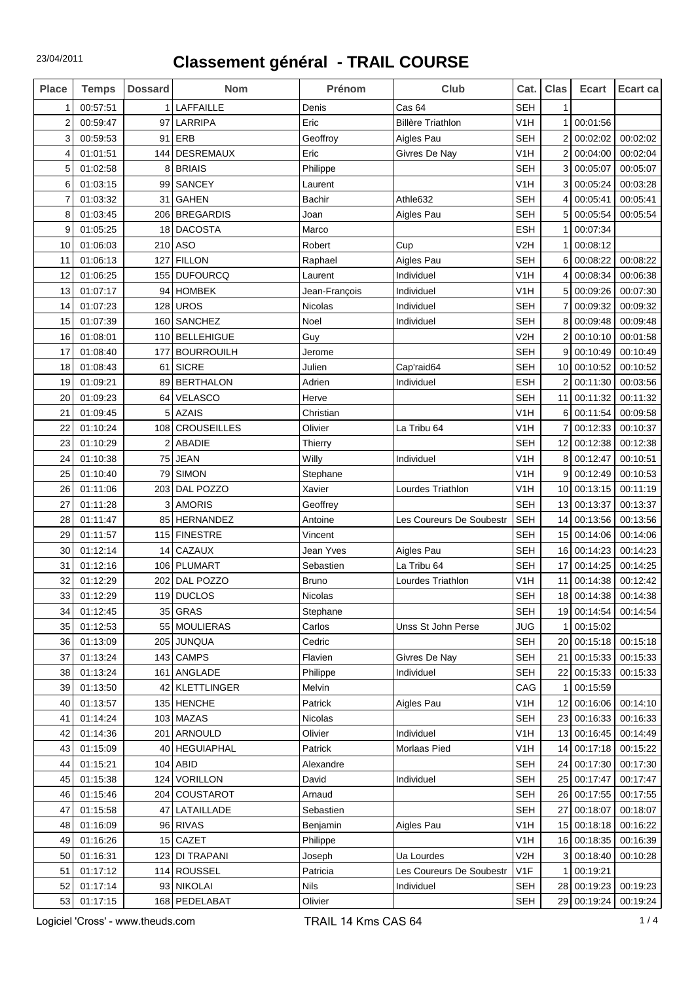| <b>Place</b> | <b>Temps</b> | <b>Dossard</b> | <b>Nom</b>         | Prénom         | Club                     | Cat.             | <b>Clas</b>     | <b>Ecart</b> | Ecart ca |
|--------------|--------------|----------------|--------------------|----------------|--------------------------|------------------|-----------------|--------------|----------|
| 1            | 00:57:51     |                | <b>LAFFAILLE</b>   | Denis          | Cas 64                   | <b>SEH</b>       | 1               |              |          |
| 2            | 00:59:47     | 97             | <b>LARRIPA</b>     | Eric           | <b>Billère Triathlon</b> | V <sub>1</sub> H |                 | 00:01:56     |          |
| 3            | 00:59:53     | 91             | ERB                | Geoffroy       | Aigles Pau               | <b>SEH</b>       | $\overline{2}$  | 00:02:02     | 00:02:02 |
| 4            | 01:01:51     | 144            | <b>DESREMAUX</b>   | Eric           | Givres De Nay            | V <sub>1</sub> H | 2 <sub>1</sub>  | 00:04:00     | 00:02:04 |
| 5            | 01:02:58     | 8              | <b>BRIAIS</b>      | Philippe       |                          | <b>SEH</b>       | 31              | 00:05:07     | 00:05:07 |
| 6            | 01:03:15     | 99             | SANCEY             | Laurent        |                          | V <sub>1</sub> H | 3               | 00:05:24     | 00:03:28 |
| 7            | 01:03:32     | 31             | <b>GAHEN</b>       | Bachir         | Athle632                 | <b>SEH</b>       |                 | 00:05:41     | 00:05:41 |
| 8            | 01:03:45     | 206            | <b>BREGARDIS</b>   | Joan           | Aigles Pau               | <b>SEH</b>       | 5               | 00:05:54     | 00:05:54 |
| 9            | 01:05:25     | 18             | <b>DACOSTA</b>     | Marco          |                          | <b>ESH</b>       | 1               | 00:07:34     |          |
| 10           | 01:06:03     | 210            | <b>ASO</b>         | Robert         | Cup                      | V <sub>2</sub> H |                 | 00:08:12     |          |
| 11           | 01:06:13     | 127            | <b>FILLON</b>      | Raphael        | Aigles Pau               | <b>SEH</b>       | 6               | 00:08:22     | 00:08:22 |
| 12           | 01:06:25     | 155            | <b>DUFOURCQ</b>    | Laurent        | Individuel               | V1H              |                 | 00:08:34     | 00:06:38 |
| 13           | 01:07:17     | 94             | <b>HOMBEK</b>      | Jean-François  | Individuel               | V1H              | 5               | 00:09:26     | 00:07:30 |
| 14           | 01:07:23     | 128            | <b>UROS</b>        | Nicolas        | Individuel               | <b>SEH</b>       | 7               | 00:09:32     | 00:09:32 |
| 15           | 01:07:39     | 160            | <b>SANCHEZ</b>     | Noel           | Individuel               | <b>SEH</b>       | 8               | 00:09:48     | 00:09:48 |
| 16           | 01:08:01     |                | 110 BELLEHIGUE     | Guy            |                          | V <sub>2</sub> H |                 | 2 00:10:10   | 00:01:58 |
| 17           | 01:08:40     | 177            | <b>BOURROUILH</b>  | Jerome         |                          | <b>SEH</b>       | 9               | 00:10:49     | 00:10:49 |
| 18           | 01:08:43     | 61             | <b>SICRE</b>       | Julien         | Cap'raid64               | <b>SEH</b>       | 10 <sup>1</sup> | 00:10:52     | 00:10:52 |
| 19           | 01:09:21     | 89             | <b>BERTHALON</b>   | Adrien         | Individuel               | <b>ESH</b>       |                 | 00:11:30     | 00:03:56 |
| 20           | 01:09:23     | 64             | <b>VELASCO</b>     | Herve          |                          | <b>SEH</b>       | 11              | 00:11:32     | 00:11:32 |
| 21           | 01:09:45     | 5              | <b>AZAIS</b>       | Christian      |                          | V <sub>1</sub> H |                 | 6 00:11:54   | 00:09:58 |
| 22           | 01:10:24     | 108            | <b>CROUSEILLES</b> | Olivier        | La Tribu 64              | V1H              |                 | 00:12:33     | 00:10:37 |
| 23           | 01:10:29     | 2              | ABADIE             | Thierry        |                          | <b>SEH</b>       | 12              | 00:12:38     | 00:12:38 |
| 24           | 01:10:38     | 75             | <b>JEAN</b>        | Willy          | Individuel               | V <sub>1</sub> H | 8               | 00:12:47     | 00:10:51 |
| 25           | 01:10:40     | 79             | <b>SIMON</b>       | Stephane       |                          | V <sub>1</sub> H | 9               | 00:12:49     | 00:10:53 |
| 26           | 01:11:06     | 203            | DAL POZZO          | Xavier         | Lourdes Triathlon        | V <sub>1</sub> H | 10              | 00:13:15     | 00:11:19 |
| 27           | 01:11:28     | 3              | <b>AMORIS</b>      | Geoffrey       |                          | <b>SEH</b>       |                 | 13 00:13:37  | 00:13:37 |
| 28           | 01:11:47     | 85             | HERNANDEZ          | Antoine        | Les Coureurs De Soubestr | <b>SEH</b>       | 14              | 00:13:56     | 00:13:56 |
| 29           | 01:11:57     | 115            | <b>FINESTRE</b>    | Vincent        |                          | <b>SEH</b>       | 15              | 00:14:06     | 00:14:06 |
| 30           | 01:12:14     | 14             | CAZAUX             | Jean Yves      | Aigles Pau               | <b>SEH</b>       |                 | 16 00:14:23  | 00:14:23 |
| 31           | 01:12:16     |                | 106 PLUMART        | Sebastien      | La Tribu 64              | <b>SEH</b>       | 17              | 00:14:25     | 00:14:25 |
| 32           | 01:12:29     | 202            | DAL POZZO          | <b>Bruno</b>   | Lourdes Triathlon        | V <sub>1</sub> H | 11 <sup>1</sup> | 00:14:38     | 00:12:42 |
| 33           | 01:12:29     |                | 119 DUCLOS         | <b>Nicolas</b> |                          | <b>SEH</b>       |                 | 18 00:14:38  | 00:14:38 |
| 34           | 01:12:45     |                | $35$ GRAS          | Stephane       |                          | <b>SEH</b>       |                 | 19 00:14:54  | 00:14:54 |
| 35           | 01:12:53     |                | 55 MOULIERAS       | Carlos         | Unss St John Perse       | <b>JUG</b>       |                 | 00:15:02     |          |
| 36           | 01:13:09     | 205            | <b>JUNQUA</b>      | Cedric         |                          | <b>SEH</b>       | 20 <sub>1</sub> | 00:15:18     | 00:15:18 |
| 37           | 01:13:24     | 143            | <b>CAMPS</b>       | Flavien        | Givres De Nay            | <b>SEH</b>       |                 | 21 00:15:33  | 00:15:33 |
| 38           | 01:13:24     | 161            | ANGLADE            | Philippe       | Individuel               | <b>SEH</b>       |                 | 22 00:15:33  | 00:15:33 |
| 39           | 01:13:50     |                | 42 KLETTLINGER     | Melvin         |                          | CAG              | 1               | 00:15:59     |          |
| 40           | 01:13:57     | 1351           | <b>HENCHE</b>      | Patrick        | Aigles Pau               | V <sub>1</sub> H | 12 <sub>1</sub> | 00:16:06     | 00:14:10 |
| 41           | 01:14:24     |                | $103$ MAZAS        | Nicolas        |                          | <b>SEH</b>       |                 | 23 00:16:33  | 00:16:33 |
| 42           | 01:14:36     | 201            | ARNOULD            | Olivier        | Individuel               | V <sub>1</sub> H |                 | 13 00:16:45  | 00:14:49 |
| 43           | 01:15:09     |                | 40 HEGUIAPHAL      | Patrick        | <b>Morlaas Pied</b>      | V <sub>1</sub> H |                 | 14 00:17:18  | 00:15:22 |
| 44           | 01:15:21     |                | $104$ ABID         | Alexandre      |                          | <b>SEH</b>       |                 | 24 00:17:30  | 00:17:30 |
| 45           | 01:15:38     | 124            | <b>VORILLON</b>    | David          | Individuel               | <b>SEH</b>       |                 | 25 00:17:47  | 00:17:47 |
| 46           | 01:15:46     | 204            | COUSTAROT          | Arnaud         |                          | <b>SEH</b>       |                 | 26 00:17:55  | 00:17:55 |
| 47           | 01:15:58     | 47             | LATAILLADE         | Sebastien      |                          | <b>SEH</b>       | 27 <sub>l</sub> | 00:18:07     | 00:18:07 |
| 48           | 01:16:09     |                | 96 RIVAS           | Benjamin       | Aigles Pau               | V <sub>1</sub> H |                 | 15 00:18:18  | 00:16:22 |
| 49           | 01:16:26     |                | $15$ CAZET         | Philippe       |                          | V <sub>1</sub> H |                 | 16 00:18:35  | 00:16:39 |
| 50           | 01:16:31     | 123            | <b>DI TRAPANI</b>  | Joseph         | Ua Lourdes               | V2H              | 31              | 00:18:40     | 00:10:28 |
| 51           | 01:17:12     | 114            | <b>ROUSSEL</b>     | Patricia       | Les Coureurs De Soubestr | V <sub>1</sub> F |                 | 00:19:21     |          |
| 52           | 01:17:14     | 93             | <b>NIKOLAI</b>     | <b>Nils</b>    | Individuel               | <b>SEH</b>       | 28 l            | 00:19:23     | 00:19:23 |
| 53           | 01:17:15     |                | 168 PEDELABAT      | Olivier        |                          | <b>SEH</b>       |                 | 29 00:19:24  | 00:19:24 |
|              |              |                |                    |                |                          |                  |                 |              |          |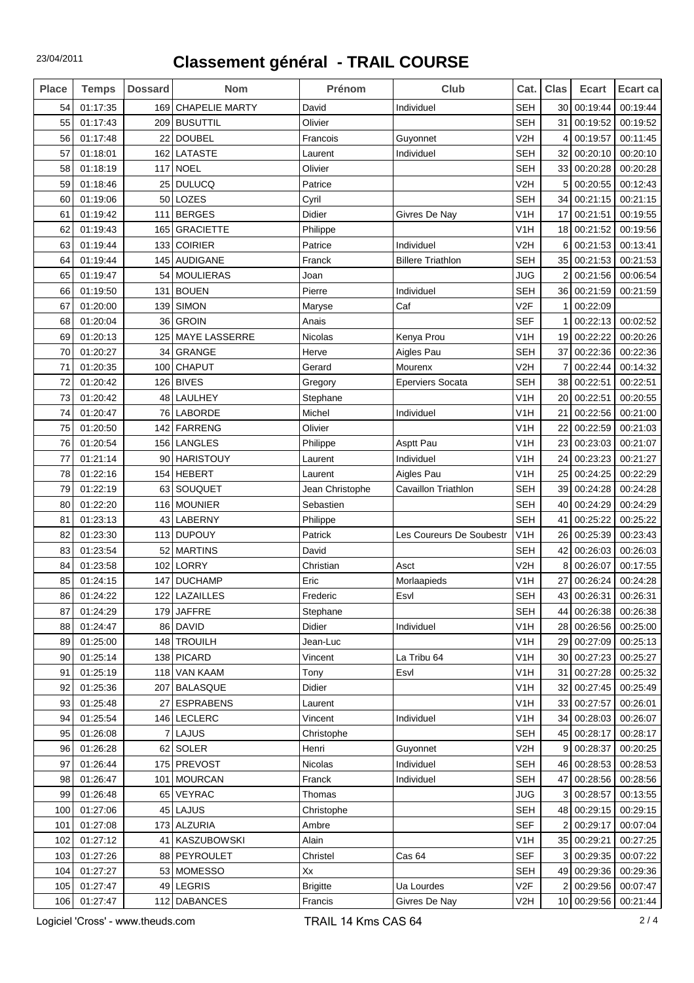| <b>Place</b> | <b>Temps</b> | <b>Dossard</b> | <b>Nom</b>            | Prénom          | Club                     | Cat.             | <b>Clas</b>     | <b>Ecart</b> | Ecart ca |
|--------------|--------------|----------------|-----------------------|-----------------|--------------------------|------------------|-----------------|--------------|----------|
| 54           | 01:17:35     | 169            | <b>CHAPELIE MARTY</b> | David           | Individuel               | <b>SEH</b>       | 30              | 00:19:44     | 00:19:44 |
| 55           | 01:17:43     | 209            | <b>BUSUTTIL</b>       | Olivier         |                          | <b>SEH</b>       | 31              | 00:19:52     | 00:19:52 |
| 56           | 01:17:48     |                | 22 DOUBEL             | Francois        | Guyonnet                 | V <sub>2</sub> H |                 | 00:19:57     | 00:11:45 |
| 57           | 01:18:01     | 162            | <b>LATASTE</b>        | Laurent         | Individuel               | <b>SEH</b>       | 32              | 00:20:10     | 00:20:10 |
| 58           | 01:18:19     | 117            | <b>NOEL</b>           | Olivier         |                          | <b>SEH</b>       | 33              | 00:20:28     | 00:20:28 |
| 59           | 01:18:46     | 25             | <b>DULUCQ</b>         | Patrice         |                          | V <sub>2</sub> H | 5               | 00:20:55     | 00:12:43 |
| 60           | 01:19:06     | 50             | LOZES                 | Cyril           |                          | <b>SEH</b>       | 34              | 00:21:15     | 00:21:15 |
| 61           | 01:19:42     | 111            | <b>BERGES</b>         | Didier          | Givres De Nay            | V <sub>1</sub> H | 17              | 00:21:51     | 00:19:55 |
| 62           | 01:19:43     | 165            | <b>GRACIETTE</b>      | Philippe        |                          | V <sub>1</sub> H | 18              | 00:21:52     | 00:19:56 |
| 63           | 01:19:44     | 133            | <b>COIRIER</b>        | Patrice         | Individuel               | V <sub>2</sub> H | 6               | 00:21:53     | 00:13:41 |
| 64           | 01:19:44     | 145            | <b>AUDIGANE</b>       | Franck          | <b>Billere Triathlon</b> | <b>SEH</b>       | 35              | 00:21:53     | 00:21:53 |
| 65           | 01:19:47     | 54             | <b>MOULIERAS</b>      | Joan            |                          | <b>JUG</b>       | 2               | 00:21:56     | 00:06:54 |
| 66           | 01:19:50     | 131            | <b>BOUEN</b>          | Pierre          | Individuel               | <b>SEH</b>       | 36              | 00:21:59     | 00:21:59 |
| 67           | 01:20:00     | 139            | <b>SIMON</b>          | Maryse          | Caf                      | V <sub>2F</sub>  |                 | 00:22:09     |          |
| 68           | 01:20:04     | 36             | <b>GROIN</b>          | Anais           |                          | <b>SEF</b>       | 1               | 00:22:13     | 00:02:52 |
| 69           | 01:20:13     | 125            | <b>MAYE LASSERRE</b>  | <b>Nicolas</b>  | Kenya Prou               | V <sub>1</sub> H | 19 <sup>1</sup> | 00:22:22     | 00:20:26 |
| 70           | 01:20:27     | 34             | <b>GRANGE</b>         | Herve           | Aigles Pau               | <b>SEH</b>       | 37              | 00:22:36     | 00:22:36 |
| 71           | 01:20:35     | 100            | <b>CHAPUT</b>         | Gerard          | Mourenx                  | V <sub>2</sub> H | 7               | 00:22:44     | 00:14:32 |
| 72           | 01:20:42     |                | 126 BIVES             | Gregory         | <b>Eperviers Socata</b>  | <b>SEH</b>       | 38              | 00:22:51     | 00:22:51 |
| 73           | 01:20:42     |                | 48 LAULHEY            | Stephane        |                          | V <sub>1</sub> H | 20              | 00:22:51     | 00:20:55 |
| 74           | 01:20:47     | 76             | <b>LABORDE</b>        | Michel          | Individuel               | V <sub>1</sub> H | 21              | 00:22:56     | 00:21:00 |
| 75           | 01:20:50     |                | 142 FARRENG           | Olivier         |                          | V <sub>1</sub> H | 22              | 00:22:59     | 00:21:03 |
| 76           | 01:20:54     | 156            | LANGLES               | Philippe        | Asptt Pau                | V <sub>1</sub> H | 23              | 00:23:03     | 00:21:07 |
| 77           | 01:21:14     | 90             | <b>HARISTOUY</b>      | Laurent         | Individuel               | V1H              | 24              | 00:23:23     | 00:21:27 |
| 78           | 01:22:16     | 154            | <b>HEBERT</b>         | Laurent         | Aigles Pau               | V <sub>1</sub> H | 25              | 00:24:25     | 00:22:29 |
| 79           | 01:22:19     | 63             | SOUQUET               | Jean Christophe | Cavaillon Triathlon      | <b>SEH</b>       | 39              | 00:24:28     | 00:24:28 |
| 80           | 01:22:20     | 116            | MOUNIER               | Sebastien       |                          | <b>SEH</b>       | 40              | 00:24:29     | 00:24:29 |
| 81           | 01:23:13     |                | 43 LABERNY            | Philippe        |                          | <b>SEH</b>       | 41              | 00:25:22     | 00:25:22 |
| 82           | 01:23:30     |                | 113 DUPOUY            | Patrick         | Les Coureurs De Soubestr | V <sub>1</sub> H | 26              | 00:25:39     | 00:23:43 |
| 83           | 01:23:54     |                | 52   MARTINS          | David           |                          | <b>SEH</b>       | 42              | 00:26:03     | 00:26:03 |
| 84           | 01:23:58     | 102            | LORRY                 | Christian       | Asct                     | V <sub>2</sub> H | 8               | 00:26:07     | 00:17:55 |
| 85           | 01:24:15     | 147            | <b>DUCHAMP</b>        | Eric            | Morlaapieds              | V <sub>1</sub> H | 27              | 00:26:24     | 00:24:28 |
| 86           | 01:24:22     |                | 122 LAZAILLES         | Frederic        | Esvl                     | <b>SEH</b>       |                 | 43 00:26:31  | 00:26:31 |
| 87           | 01:24:29     |                | 179 JAFFRE            | Stephane        |                          | <b>SEH</b>       | 44              | 00:26:38     | 00:26:38 |
| 88           | 01:24:47     |                | 86 DAVID              | Didier          | Individuel               | V <sub>1</sub> H | 28              | 00:26:56     | 00:25:00 |
| 89           | 01:25:00     |                | 148 TROUILH           | Jean-Luc        |                          | V <sub>1</sub> H | 29              | 00:27:09     | 00:25:13 |
| 90           | 01:25:14     |                | 138 PICARD            | Vincent         | La Tribu 64              | V <sub>1</sub> H | 30              | 00:27:23     | 00:25:27 |
| 91           | 01:25:19     |                | 118 VAN KAAM          | Tony            | Esvl                     | V <sub>1</sub> H | 31              | 00:27:28     | 00:25:32 |
| 92           | 01:25:36     |                | 207 BALASQUE          | Didier          |                          | V <sub>1</sub> H | 32              | 00:27:45     | 00:25:49 |
| 93           | 01:25:48     | 27             | <b>ESPRABENS</b>      | Laurent         |                          | V <sub>1</sub> H | 33              | 00:27:57     | 00:26:01 |
| 94           | 01:25:54     |                | 146 LECLERC           | Vincent         | Individuel               | V <sub>1</sub> H | 34              | 00:28:03     | 00:26:07 |
| 95           | 01:26:08     | $\overline{7}$ | LAJUS                 | Christophe      |                          | <b>SEH</b>       | 45              | 00:28:17     | 00:28:17 |
| 96           | 01:26:28     | 62             | <b>SOLER</b>          | Henri           | Guyonnet                 | V <sub>2</sub> H | 9               | 00:28:37     | 00:20:25 |
| 97           | 01:26:44     |                | 175 PREVOST           | Nicolas         | Individuel               | <b>SEH</b>       |                 | 46 00:28:53  | 00:28:53 |
| 98           | 01:26:47     |                | 101 MOURCAN           | Franck          | Individuel               | <b>SEH</b>       | 47              | 00:28:56     | 00:28:56 |
| 99           | 01:26:48     |                | 65 VEYRAC             | Thomas          |                          | <b>JUG</b>       | 3               | 00:28:57     | 00:13:55 |
| 100          | 01:27:06     |                | 45 LAJUS              | Christophe      |                          | <b>SEH</b>       | 48              | 00:29:15     | 00:29:15 |
| 101          | 01:27:08     |                | 173 ALZURIA           | Ambre           |                          | <b>SEF</b>       | $\overline{2}$  | 00:29:17     | 00:07:04 |
| 102          | 01:27:12     | 41             | KASZUBOWSKI           | Alain           |                          | V <sub>1</sub> H | 35              | 00:29:21     | 00:27:25 |
| 103          | 01:27:26     |                | 88 PEYROULET          | Christel        | Cas 64                   | <b>SEF</b>       | 3               | 00:29:35     | 00:07:22 |
| 104          | 01:27:27     | 53             | <b>MOMESSO</b>        | Xx              |                          | <b>SEH</b>       | 49              | 00:29:36     | 00:29:36 |
| 105          | 01:27:47     | 49             | <b>LEGRIS</b>         | <b>Brigitte</b> | Ua Lourdes               | V2F              |                 | 00:29:56     | 00:07:47 |
| 106          | 01:27:47     |                | 112 DABANCES          | Francis         | Givres De Nay            | V <sub>2</sub> H | 10 <sup>1</sup> | 00:29:56     | 00:21:44 |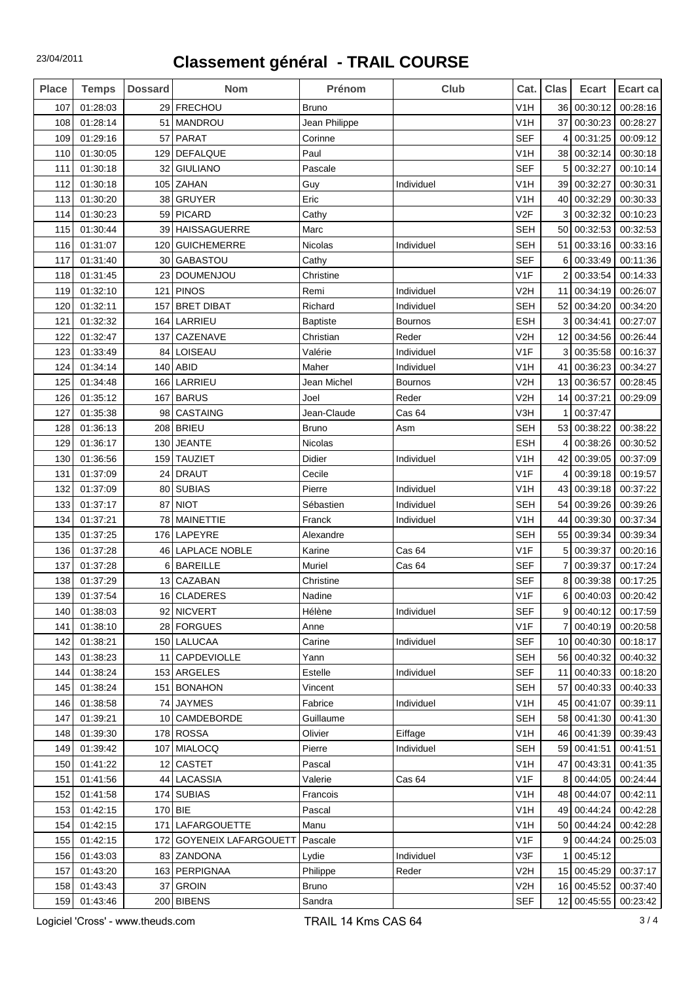| <b>Place</b> | <b>Temps</b> | <b>Dossard</b> | <b>Nom</b>               | Prénom          | Club              | Cat.             | Clas            | <b>Ecart</b> | Ecart ca |
|--------------|--------------|----------------|--------------------------|-----------------|-------------------|------------------|-----------------|--------------|----------|
| 107          | 01:28:03     |                | 29 FRECHOU               | <b>Bruno</b>    |                   | V <sub>1</sub> H | 36 I            | 00:30:12     | 00:28:16 |
| 108          | 01:28:14     | 51             | <b>MANDROU</b>           | Jean Philippe   |                   | V <sub>1</sub> H | 37 I            | 00:30:23     | 00:28:27 |
| 109          | 01:29:16     | 57             | <b>PARAT</b>             | Corinne         |                   | <b>SEF</b>       | 4               | 00:31:25     | 00:09:12 |
| 110          | 01:30:05     | 129            | <b>DEFALQUE</b>          | Paul            |                   | V <sub>1</sub> H | 38              | 00:32:14     | 00:30:18 |
| 111          | 01:30:18     | 32             | <b>GIULIANO</b>          | Pascale         |                   | <b>SEF</b>       | 51              | 00:32:27     | 00:10:14 |
| 112          | 01:30:18     |                | 105 ZAHAN                | Guy             | Individuel        | V <sub>1</sub> H | 39 I            | 00:32:27     | 00:30:31 |
| 113          | 01:30:20     | 38             | <b>GRUYER</b>            | Eric            |                   | V <sub>1</sub> H | 40              | 00:32:29     | 00:30:33 |
| 114          | 01:30:23     | 59             | <b>PICARD</b>            | Cathy           |                   | V2F              | 3               | 00:32:32     | 00:10:23 |
| 115          | 01:30:44     | 39             | <b>HAISSAGUERRE</b>      | Marc            |                   | <b>SEH</b>       | 50              | 00:32:53     | 00:32:53 |
| 116          | 01:31:07     | 120            | <b>GUICHEMERRE</b>       | Nicolas         | Individuel        | <b>SEH</b>       |                 | 51 00:33:16  | 00:33:16 |
| 117          | 01:31:40     | 30             | <b>GABASTOU</b>          | Cathy           |                   | <b>SEF</b>       | 6               | 00:33:49     | 00:11:36 |
| 118          | 01:31:45     | 23             | <b>DOUMENJOU</b>         | Christine       |                   | V <sub>1F</sub>  | 2               | 00:33:54     | 00:14:33 |
| 119          | 01:32:10     | 121            | <b>PINOS</b>             | Remi            | Individuel        | V <sub>2</sub> H | 11              | 00:34:19     | 00:26:07 |
| 120          | 01:32:11     | 157            | <b>BRET DIBAT</b>        | Richard         | Individuel        | <b>SEH</b>       | 52              | 00:34:20     | 00:34:20 |
| 121          | 01:32:32     | 164            | LARRIEU                  | <b>Baptiste</b> | <b>Bournos</b>    | <b>ESH</b>       | 3               | 00:34:41     | 00:27:07 |
| 122          | 01:32:47     | 137            | CAZENAVE                 | Christian       | Reder             | V <sub>2</sub> H |                 | 12 00:34:56  | 00:26:44 |
| 123          | 01:33:49     | 84             | LOISEAU                  | Valérie         | Individuel        | V <sub>1F</sub>  | 3               | 00:35:58     | 00:16:37 |
| 124          | 01:34:14     | 140            | <b>ABID</b>              | Maher           | Individuel        | V <sub>1</sub> H | 41              | 00:36:23     | 00:34:27 |
| 125          | 01:34:48     | 166            | LARRIEU                  | Jean Michel     | <b>Bournos</b>    | V <sub>2</sub> H | 13 <sup>1</sup> | 00:36:57     | 00:28:45 |
| 126          | 01:35:12     | 167            | <b>BARUS</b>             | Joel            | Reder             | V <sub>2</sub> H | 14 <sup>1</sup> | 00:37:21     | 00:29:09 |
| 127          | 01:35:38     | 98             | CASTAING                 | Jean-Claude     | Cas 64            | V3H              | $\mathbf{1}$    | 00:37:47     |          |
| 128          | 01:36:13     | 208            | <b>BRIEU</b>             | <b>Bruno</b>    | Asm               | <b>SEH</b>       |                 | 53 00:38:22  | 00:38:22 |
| 129          | 01:36:17     | 130            | <b>JEANTE</b>            | <b>Nicolas</b>  |                   | <b>ESH</b>       | 4               | 00:38:26     | 00:30:52 |
| 130          | 01:36:56     | 159            | <b>TAUZIET</b>           | Didier          | Individuel        | V <sub>1</sub> H | 42              | 00:39:05     | 00:37:09 |
| 131          | 01:37:09     | 24 l           | <b>DRAUT</b>             | Cecile          |                   | V <sub>1F</sub>  | 4               | 00:39:18     | 00:19:57 |
| 132          | 01:37:09     | 80             | <b>SUBIAS</b>            | Pierre          | Individuel        | V <sub>1</sub> H | 43              | 00:39:18     | 00:37:22 |
| 133          | 01:37:17     | 87             | <b>NIOT</b>              | Sébastien       | Individuel        | <b>SEH</b>       |                 | 54 00:39:26  | 00:39:26 |
| 134          | 01:37:21     | 78             | <b>MAINETTIE</b>         | Franck          | Individuel        | V <sub>1</sub> H | 44              | 00:39:30     | 00:37:34 |
| 135          | 01:37:25     | 176            | LAPEYRE                  | Alexandre       |                   | <b>SEH</b>       | 55              | 00:39:34     | 00:39:34 |
| 136          | 01:37:28     | 46             | <b>LAPLACE NOBLE</b>     | Karine          | Cas 64            | V <sub>1</sub> F | 5               | 00:39:37     | 00:20:16 |
| 137          | 01:37:28     | 6              | <b>BAREILLE</b>          | Muriel          | Cas <sub>64</sub> | <b>SEF</b>       | 7               | 00:39:37     | 00:17:24 |
| 138          | 01:37:29     | 13             | CAZABAN                  | Christine       |                   | <b>SEF</b>       | 8               | 00:39:38     | 00:17:25 |
| 139          | 01:37:54     |                | 16 CLADERES              | Nadine          |                   | V <sub>1F</sub>  |                 | 6 00:40:03   | 00:20:42 |
| 140          | 01:38:03     |                | 92 NICVERT               | Hélène          | Individuel        | <b>SEF</b>       | 9               | 00:40:12     | 00:17:59 |
| 141          | 01:38:10     |                | 28 FORGUES               | Anne            |                   | V <sub>1F</sub>  | 7               | 00:40:19     | 00:20:58 |
| 142          | 01:38:21     |                | 150 LALUCAA              | Carine          | Individuel        | <b>SEF</b>       |                 | 10 00:40:30  | 00:18:17 |
| 143          | 01:38:23     | 11             | CAPDEVIOLLE              | Yann            |                   | <b>SEH</b>       |                 | 56 00:40:32  | 00:40:32 |
| 144          | 01:38:24     | 153            | <b>ARGELES</b>           | Estelle         | Individuel        | <b>SEF</b>       |                 | 11 00:40:33  | 00:18:20 |
| 145          | 01:38:24     | 151            | <b>BONAHON</b>           | Vincent         |                   | <b>SEH</b>       |                 | 57 00:40:33  | 00:40:33 |
| 146          | 01:38:58     | 74             | <b>JAYMES</b>            | Fabrice         | Individuel        | V <sub>1</sub> H | 45              | 00:41:07     | 00:39:11 |
| 147          | 01:39:21     | 10 I           | <b>CAMDEBORDE</b>        | Guillaume       |                   | <b>SEH</b>       | 58              | 00:41:30     | 00:41:30 |
| 148          | 01:39:30     |                | $178$ ROSSA              | Olivier         | Eiffage           | V <sub>1</sub> H | 46              | 00:41:39     | 00:39:43 |
| 149          | 01:39:42     | 107            | <b>MIALOCQ</b>           | Pierre          | Individuel        | <b>SEH</b>       |                 | 59 00:41:51  | 00:41:51 |
| 150          | 01:41:22     |                | 12 CASTET                | Pascal          |                   | V <sub>1</sub> H |                 | 47 00:43:31  | 00:41:35 |
| 151          | 01:41:56     | 44             | LACASSIA                 | Valerie         | Cas <sub>64</sub> | V1F              | 8               | 00:44:05     | 00:24:44 |
| 152          | 01:41:58     |                | 174 SUBIAS               | Francois        |                   | V <sub>1</sub> H | 48              | 00:44:07     | 00:42:11 |
| 153          | 01:42:15     |                | $170$ BIE                | Pascal          |                   | V <sub>1</sub> H | 49              | 00:44:24     | 00:42:28 |
| 154          | 01:42:15     | 171            | LAFARGOUETTE             | Manu            |                   | V <sub>1</sub> H | 50 <sub>1</sub> | 00:44:24     | 00:42:28 |
| 155          | 01:42:15     |                | 172 GOYENEIX LAFARGOUETT | Pascale         |                   | V <sub>1F</sub>  |                 | 9 00:44:24   | 00:25:03 |
| 156          | 01:43:03     |                | 83 ZANDONA               | Lydie           | Individuel        | V3F              | 1               | 00:45:12     |          |
| 157          | 01:43:20     | 163            | PERPIGNAA                | Philippe        | Reder             | V <sub>2</sub> H |                 | 15 00:45:29  | 00:37:17 |
| 158          | 01:43:43     | 37             | <b>GROIN</b>             | <b>Bruno</b>    |                   | V <sub>2</sub> H |                 | 16 00:45:52  | 00:37:40 |
| 159          | 01:43:46     |                | 200 BIBENS               | Sandra          |                   | <b>SEF</b>       |                 | 12 00:45:55  | 00:23:42 |